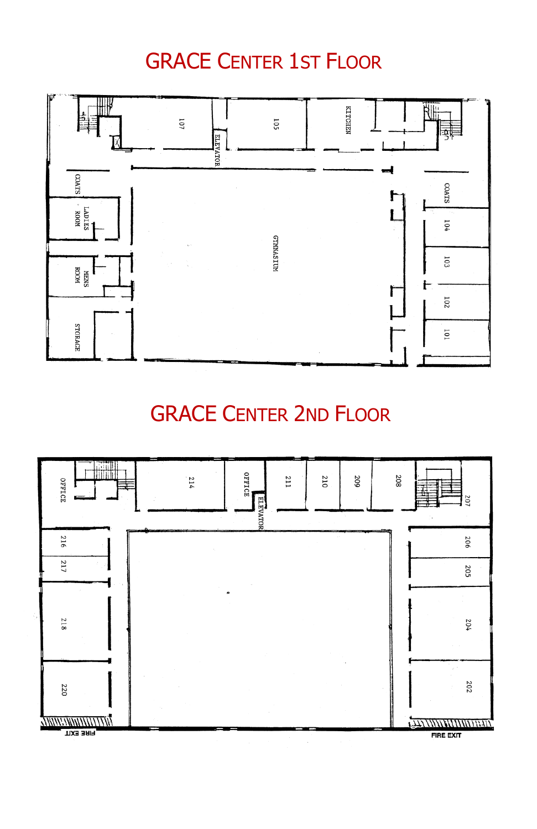### GRACE CENTER 1ST FLOOR



### GRACE CENTER 2ND FLOOR

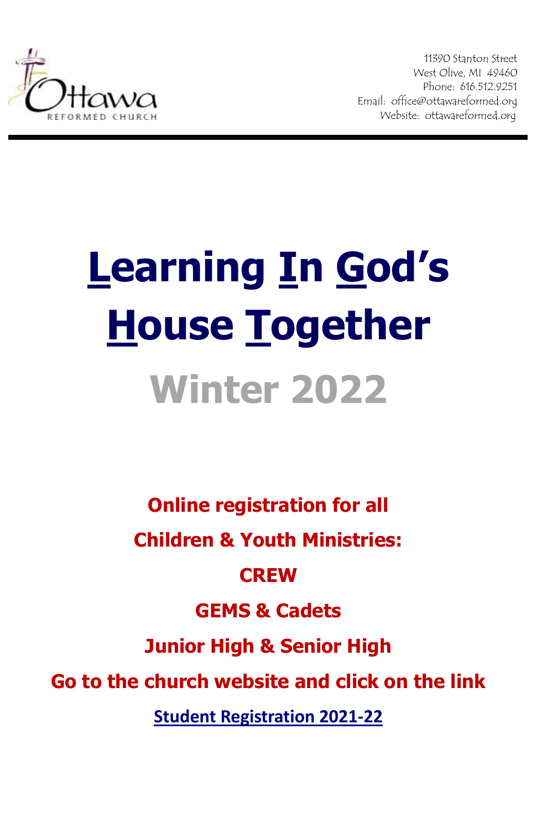

11390 Stanton Street West Olive, MI 49460 Phone: 616.512.9251 Email: office@ottawareformed.org Website: ottawareformed.org

# **Learning In God's House Together Winter 2022**

**Online registration for all Children & Youth Ministries:**

#### **CREW**

### **GEMS & Cadets**

**Junior High & Senior High**

**Go to the church website and click on the link** 

**[Student Registration 2021-22](https://docs.google.com/forms/d/11SojcJu8PrfwV8VnUW8_S26Vqs6RU8o01F50jFKw2KA/edit)**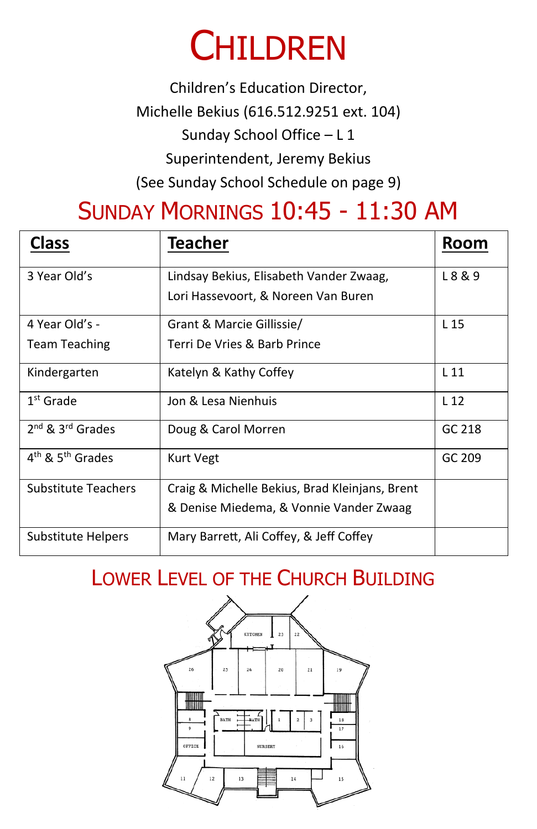## **CHILDREN**

Children's Education Director, Michelle Bekius (616.512.9251 ext. 104) Sunday School Office – L 1 Superintendent, Jeremy Bekius (See Sunday School Schedule on page 9)

## SUNDAY MORNINGS 10:45 - 11:30 AM

| <b>Class</b>                             | <b>Teacher</b>                                 | Room            |
|------------------------------------------|------------------------------------------------|-----------------|
| 3 Year Old's                             | Lindsay Bekius, Elisabeth Vander Zwaag,        | L 8 & 9         |
|                                          | Lori Hassevoort, & Noreen Van Buren            |                 |
| 4 Year Old's -                           | Grant & Marcie Gillissie/                      | L <sub>15</sub> |
| <b>Team Teaching</b>                     | Terri De Vries & Barb Prince                   |                 |
| Kindergarten                             | Katelyn & Kathy Coffey                         | L <sub>11</sub> |
| $1st$ Grade                              | Jon & Lesa Nienhuis                            | L <sub>12</sub> |
| $2^{nd}$ & $3^{rd}$ Grades               | Doug & Carol Morren                            | GC 218          |
| 4 <sup>th</sup> & 5 <sup>th</sup> Grades | Kurt Vegt                                      | GC 209          |
| Substitute Teachers                      | Craig & Michelle Bekius, Brad Kleinjans, Brent |                 |
|                                          | & Denise Miedema, & Vonnie Vander Zwaag        |                 |
| Substitute Helpers                       | Mary Barrett, Ali Coffey, & Jeff Coffey        |                 |

#### LOWER LEVEL OF THE CHURCH BUILDING

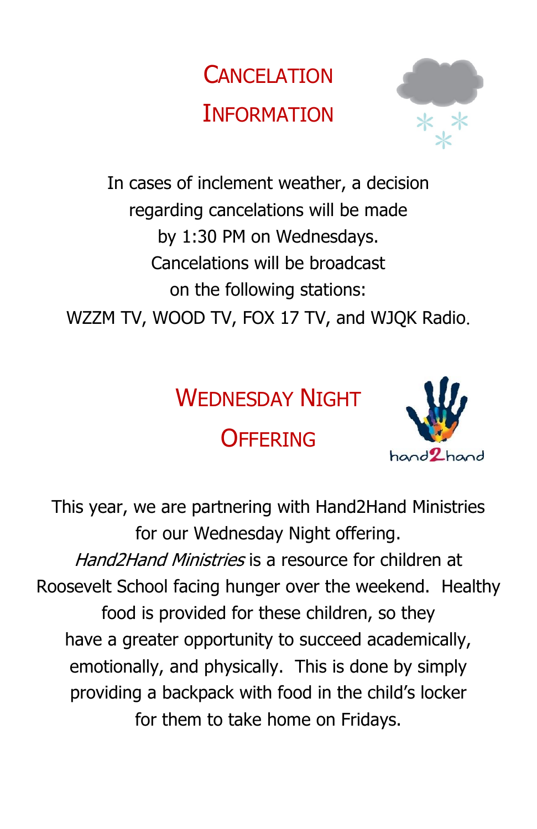## **CANCELATION INFORMATION**



In cases of inclement weather, a decision regarding cancelations will be made by 1:30 PM on Wednesdays. Cancelations will be broadcast on the following stations: WZZM TV, WOOD TV, FOX 17 TV, and WJQK Radio.

## WEDNESDAY NIGHT

## **OFFERING**



This year, we are partnering with Hand2Hand Ministries for our Wednesday Night offering. Hand2Hand Ministries is a resource for children at Roosevelt School facing hunger over the weekend. Healthy food is provided for these children, so they have a greater opportunity to succeed academically, emotionally, and physically. This is done by simply providing a backpack with food in the child's locker for them to take home on Fridays.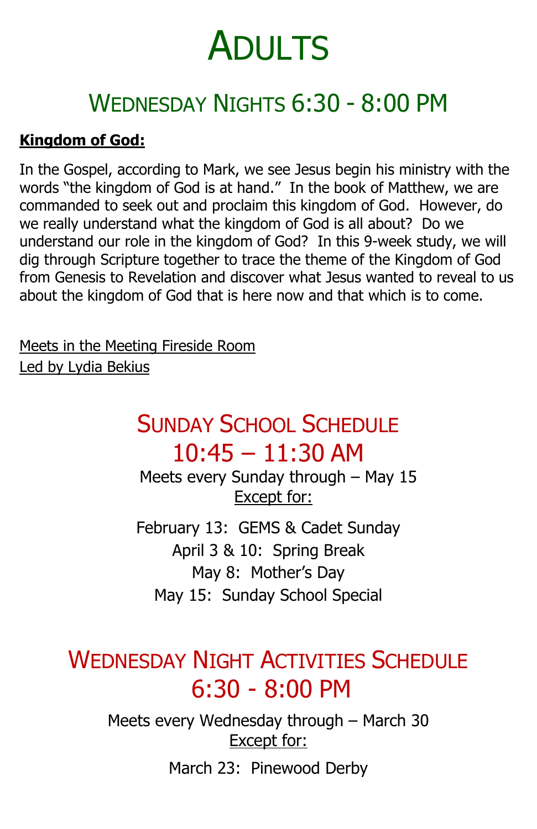## WEDNESDAY NIGHTS 6:30 - 8:00 PM

#### **Kingdom of God:**

In the Gospel, according to Mark, we see Jesus begin his ministry with the words "the kingdom of God is at hand." In the book of Matthew, we are commanded to seek out and proclaim this kingdom of God. However, do we really understand what the kingdom of God is all about? Do we understand our role in the kingdom of God? In this 9-week study, we will dig through Scripture together to trace the theme of the Kingdom of God from Genesis to Revelation and discover what Jesus wanted to reveal to us about the kingdom of God that is here now and that which is to come.

Meets in the Meeting Fireside Room Led by Lydia Bekius

### SUNDAY SCHOOL SCHEDULE 10:45 – 11:30 AM

 Meets every Sunday through – May 15 Except for:

February 13: GEMS & Cadet Sunday April 3 & 10: Spring Break May 8: Mother's Day May 15: Sunday School Special

### WEDNESDAY NIGHT ACTIVITIES SCHEDULE 6:30 - 8:00 PM

Meets every Wednesday through – March 30 Except for:

March 23: Pinewood Derby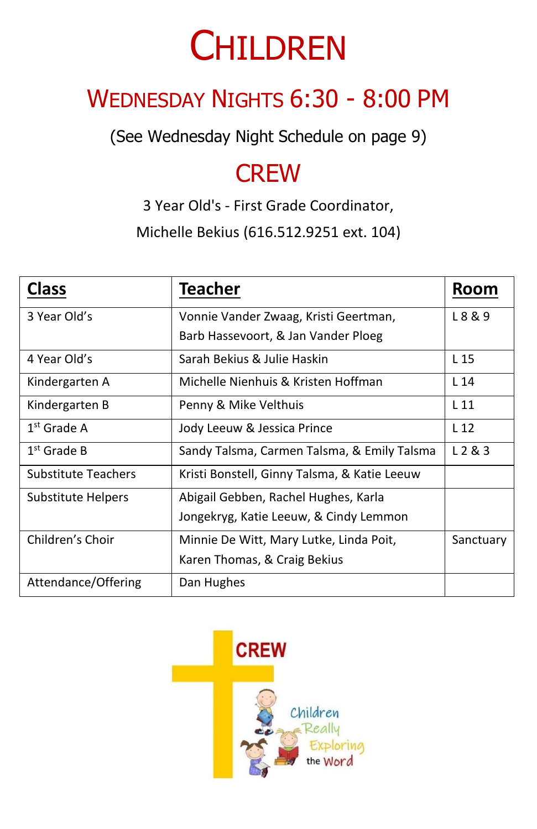## **CHILDREN**

## WEDNESDAY NIGHTS 6:30 - 8:00 PM

(See Wednesday Night Schedule on page 9)

### **CREW**

3 Year Old's - First Grade Coordinator, Michelle Bekius (616.512.9251 ext. 104)

| <b>Class</b>               | <b>Teacher</b>                               | Room            |
|----------------------------|----------------------------------------------|-----------------|
| 3 Year Old's               | Vonnie Vander Zwaag, Kristi Geertman,        | L8&9            |
|                            | Barb Hassevoort, & Jan Vander Ploeg          |                 |
| 4 Year Old's               | Sarah Bekius & Julie Haskin                  | L <sub>15</sub> |
| Kindergarten A             | Michelle Nienhuis & Kristen Hoffman          | L <sub>14</sub> |
| Kindergarten B             | Penny & Mike Velthuis                        | L <sub>11</sub> |
| $1st$ Grade A              | Jody Leeuw & Jessica Prince                  | L <sub>12</sub> |
| $1st$ Grade B              | Sandy Talsma, Carmen Talsma, & Emily Talsma  | L 2 & 3         |
| <b>Substitute Teachers</b> | Kristi Bonstell, Ginny Talsma, & Katie Leeuw |                 |
| Substitute Helpers         | Abigail Gebben, Rachel Hughes, Karla         |                 |
|                            | Jongekryg, Katie Leeuw, & Cindy Lemmon       |                 |
| Children's Choir           | Minnie De Witt, Mary Lutke, Linda Poit,      | Sanctuary       |
|                            | Karen Thomas, & Craig Bekius                 |                 |
| Attendance/Offering        | Dan Hughes                                   |                 |

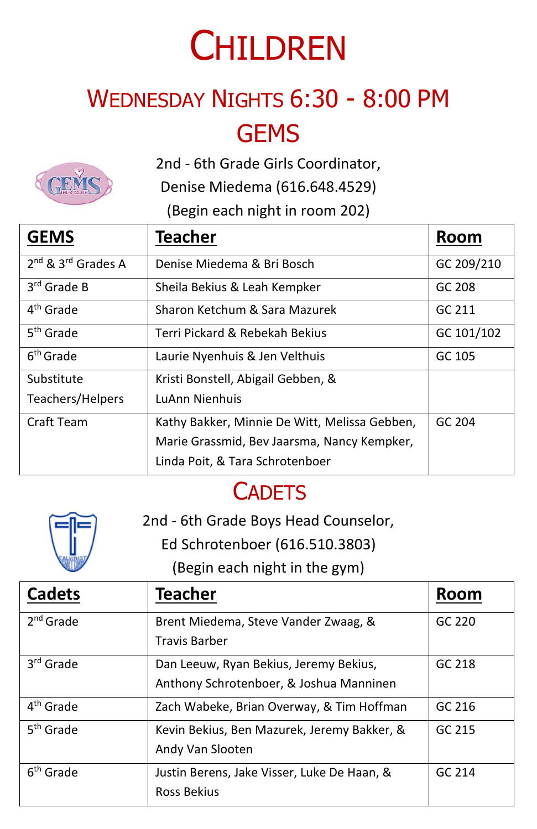## **CHILDREN**

## WEDNESDAY NIGHTS 6:30 - 8:00 PM **GEMS**

2nd - 6th Grade Girls Coordinator,

Denise Miedema (616.648.4529)

(Begin each night in room 202)

| <b>GEMS</b>                                | Teacher                                       | Room       |
|--------------------------------------------|-----------------------------------------------|------------|
| 2 <sup>nd</sup> & 3 <sup>rd</sup> Grades A | Denise Miedema & Bri Bosch                    | GC 209/210 |
| $3rd$ Grade B                              | Sheila Bekius & Leah Kempker                  | GC 208     |
| 4 <sup>th</sup> Grade                      | Sharon Ketchum & Sara Mazurek                 | GC 211     |
| 5 <sup>th</sup> Grade                      | Terri Pickard & Rebekah Bekius                | GC 101/102 |
| 6 <sup>th</sup> Grade                      | Laurie Nyenhuis & Jen Velthuis                | GC 105     |
| Substitute                                 | Kristi Bonstell, Abigail Gebben, &            |            |
| Teachers/Helpers                           | LuAnn Nienhuis                                |            |
| Craft Team                                 | Kathy Bakker, Minnie De Witt, Melissa Gebben, | GC 204     |
|                                            | Marie Grassmid, Bev Jaarsma, Nancy Kempker,   |            |
|                                            | Linda Poit, & Tara Schrotenboer               |            |

### **CADETS**



2nd - 6th Grade Boys Head Counselor,

Ed Schrotenboer (616.510.3803)

(Begin each night in the gym)

| <b>Cadets</b>         | Teacher                                                                           | <b>Room</b> |
|-----------------------|-----------------------------------------------------------------------------------|-------------|
| $2nd$ Grade           | Brent Miedema, Steve Vander Zwaag, &<br><b>Travis Barber</b>                      | GC 220      |
| 3 <sup>rd</sup> Grade | Dan Leeuw, Ryan Bekius, Jeremy Bekius,<br>Anthony Schrotenboer, & Joshua Manninen | GC 218      |
| 4 <sup>th</sup> Grade | Zach Wabeke, Brian Overway, & Tim Hoffman                                         | GC 216      |
| 5 <sup>th</sup> Grade | Kevin Bekius, Ben Mazurek, Jeremy Bakker, &<br>Andy Van Slooten                   | GC 215      |
| 6 <sup>th</sup> Grade | Justin Berens, Jake Visser, Luke De Haan, &<br>Ross Bekius                        | GC.214      |

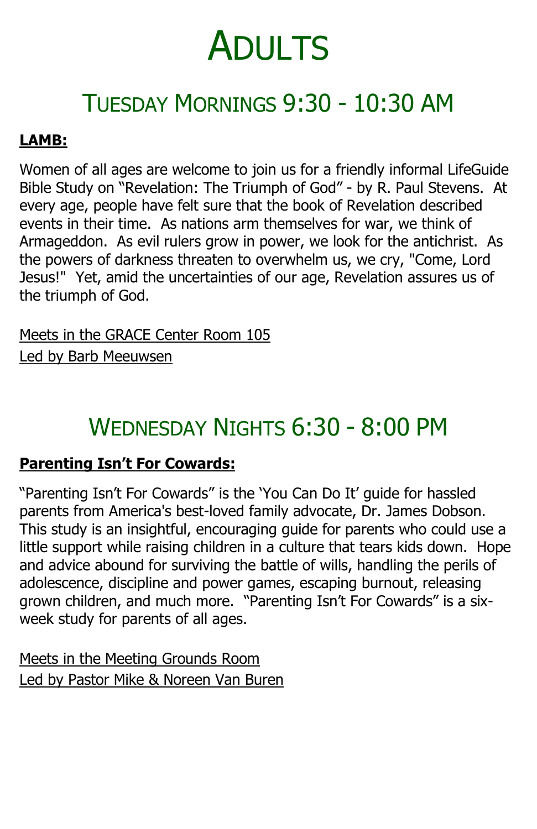## TUESDAY MORNINGS 9:30 - 10:30 AM

#### **LAMB:**

Women of all ages are welcome to join us for a friendly informal LifeGuide Bible Study on "Revelation: The Triumph of God" - by R. Paul Stevens. At every age, people have felt sure that the book of Revelation described events in their time. As nations arm themselves for war, we think of Armageddon. As evil rulers grow in power, we look for the antichrist. As the powers of darkness threaten to overwhelm us, we cry, "Come, Lord Jesus!" Yet, amid the uncertainties of our age, Revelation assures us of the triumph of God.

Meets in the GRACE Center Room 105 Led by Barb Meeuwsen

## WEDNESDAY NIGHTS 6:30 - 8:00 PM

#### **Parenting Isn't For Cowards:**

"Parenting Isn't For Cowards" is the 'You Can Do It' guide for hassled parents from America's best-loved family advocate, Dr. James Dobson. This study is an insightful, encouraging guide for parents who could use a little support while raising children in a culture that tears kids down. Hope and advice abound for surviving the battle of wills, handling the perils of adolescence, discipline and power games, escaping burnout, releasing grown children, and much more. "Parenting Isn't For Cowards" is a sixweek study for parents of all ages.

Meets in the Meeting Grounds Room Led by Pastor Mike & Noreen Van Buren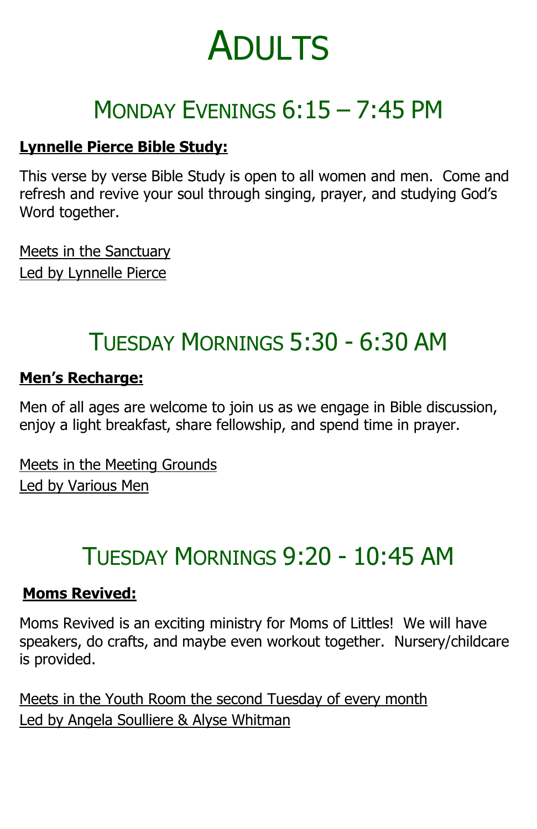## MONDAY EVENINGS 6:15 – 7:45 PM

#### **Lynnelle Pierce Bible Study:**

This verse by verse Bible Study is open to all women and men. Come and refresh and revive your soul through singing, prayer, and studying God's Word together.

Meets in the Sanctuary Led by Lynnelle Pierce

### TUESDAY MORNINGS 5:30 - 6:30 AM

#### **Men's Recharge:**

Men of all ages are welcome to join us as we engage in Bible discussion, enjoy a light breakfast, share fellowship, and spend time in prayer.

Meets in the Meeting Grounds Led by Various Men

## TUESDAY MORNINGS 9:20 - 10:45 AM

#### **Moms Revived:**

Moms Revived is an exciting ministry for Moms of Littles! We will have speakers, do crafts, and maybe even workout together. Nursery/childcare is provided.

Meets in the Youth Room the second Tuesday of every month Led by Angela Soulliere & Alyse Whitman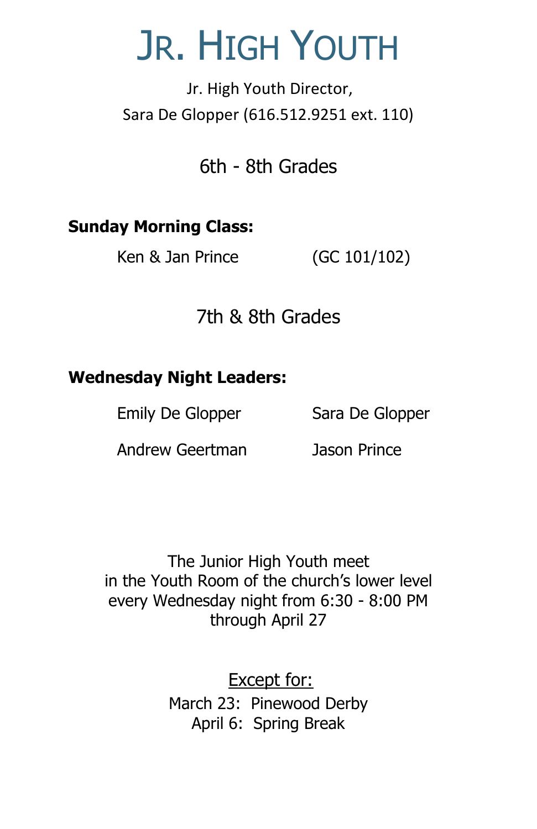## JR. HIGH YOUTH

Jr. High Youth Director, Sara De Glopper (616.512.9251 ext. 110)

6th - 8th Grades

#### **Sunday Morning Class:**

Ken & Jan Prince (GC 101/102)

#### 7th & 8th Grades

#### **Wednesday Night Leaders:**

Emily De Glopper Sara De Glopper

Andrew Geertman Jason Prince

The Junior High Youth meet in the Youth Room of the church's lower level every Wednesday night from 6:30 - 8:00 PM through April 27

> Except for: March 23: Pinewood Derby April 6: Spring Break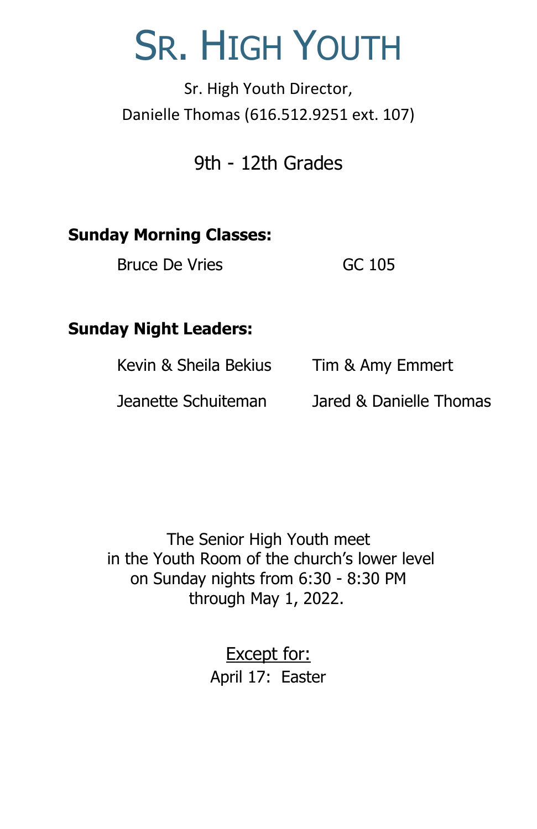## SR. HIGH YOUTH

Sr. High Youth Director, Danielle Thomas (616.512.9251 ext. 107)

#### 9th - 12th Grades

#### **Sunday Morning Classes:**

Bruce De Vries GC 105

#### **Sunday Night Leaders:**

Kevin & Sheila Bekius Tim & Amy Emmert

Jeanette Schuiteman Jared & Danielle Thomas

The Senior High Youth meet in the Youth Room of the church's lower level on Sunday nights from 6:30 - 8:30 PM through May 1, 2022.

> Except for: April 17: Easter